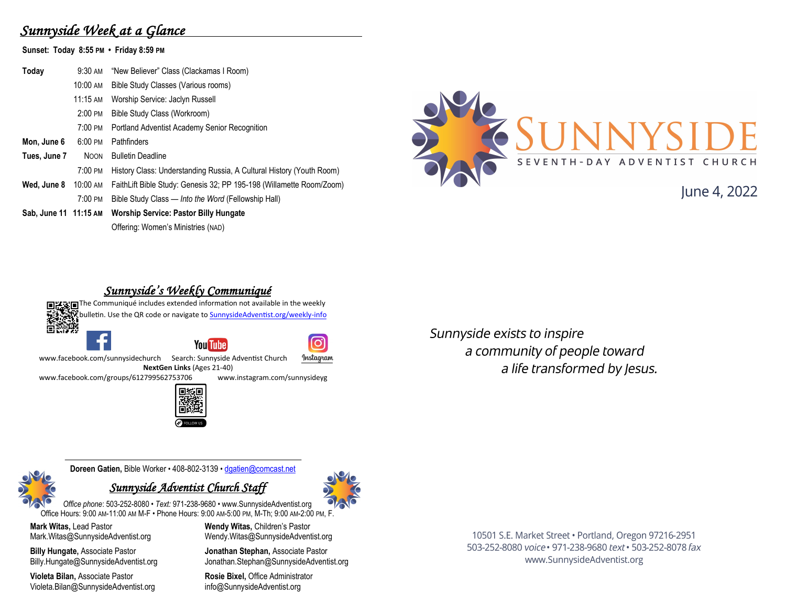# *Sunnyside Week at a Glance*

**Sunset: Today 8:55 PM • Friday 8:59 PM**

| Today                 | 9:30 AM            | "New Believer" Class (Clackamas I Room)                              |
|-----------------------|--------------------|----------------------------------------------------------------------|
|                       | 10:00 AM           | Bible Study Classes (Various rooms)                                  |
|                       | $11:15 \text{ AM}$ | Worship Service: Jaclyn Russell                                      |
|                       | $2:00$ PM          | Bible Study Class (Workroom)                                         |
|                       | 7:00 PM            | <b>Portland Adventist Academy Senior Recognition</b>                 |
| Mon, June 6           | 6:00 PM            | <b>Pathfinders</b>                                                   |
| Tues, June 7          | <b>NOON</b>        | <b>Bulletin Deadline</b>                                             |
|                       | 7:00 PM            | History Class: Understanding Russia, A Cultural History (Youth Room) |
| Wed, June 8           | 10:00 AM           | FaithLift Bible Study: Genesis 32; PP 195-198 (Willamette Room/Zoom) |
|                       | $7:00 \text{ PM}$  | Bible Study Class — Into the Word (Fellowship Hall)                  |
| Sab, June 11 11:15 AM |                    | <b>Worship Service: Pastor Billy Hungate</b>                         |
|                       |                    | Offering: Women's Ministries (NAD)                                   |



# lune 4, 2022

### *Sunnyside's Weekly Communiqué*

**回送到回The Communiqué includes extended information not available in the weekly** bulletin. Use the QR code or navigate to **SunnysideAdventist.org/weekly-info** řák  $\overline{O}$ **You Tube** www.facebook.com/sunnysidechurch Search: Sunnyside Adventist Church Instagram **NextGen Links** (Ages 21-40)<br>2799562753706 www.instagram.com/sunnysidevg [www.facebook.com/groups/612799562753706](https://www.facebook.com/groups/612799562753706)

Sunnyside exists to inspire a community of people toward a life transformed by Jesus.

**Doreen Gatien,** Bible Worker • 408-802-3139 • [dgatien@comcast.net](mailto:dgatien@comcast.net)

### *Sunnyside Adventist Church Staff*



**Mark Witas,** Lead Pastor Mark.Witas@SunnysideAdventist.org

**Billy Hungate,** Associate Pastor Billy.Hungate@SunnysideAdventist.org

**Violeta Bilan,** Associate Pastor Violeta.Bilan@SunnysideAdventist.org **Wendy Witas,** Children's Pastor Wendy.Witas@SunnysideAdventist.org

**Jonathan Stephan,** Associate Pastor Jonathan.Stephan@SunnysideAdventist.org

**Rosie Bixel,** Office Administrator info@SunnysideAdventist.org

10501 S.E. Market Street · Portland, Oregon 97216-2951 503-252-8080 voice · 971-238-9680 text · 503-252-8078 fax www.SunnysideAdventist.org